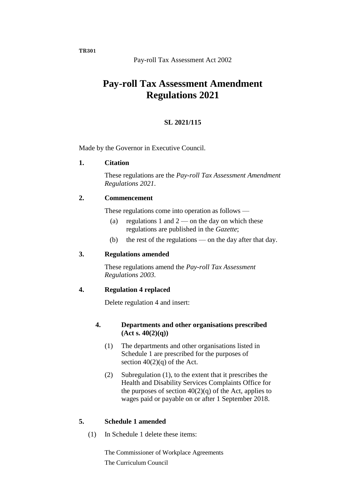Pay-roll Tax Assessment Act 2002

# **Pay-roll Tax Assessment Amendment Regulations 2021**

## **SL 2021/115**

Made by the Governor in Executive Council.

#### **1. Citation**

These regulations are the *Pay-roll Tax Assessment Amendment Regulations 2021*.

#### **2. Commencement**

These regulations come into operation as follows —

- (a) regulations 1 and  $2$  on the day on which these regulations are published in the *Gazette*;
- (b) the rest of the regulations on the day after that day.

## **3. Regulations amended**

These regulations amend the *Pay-roll Tax Assessment Regulations 2003*.

## **4. Regulation 4 replaced**

Delete regulation 4 and insert:

#### **4. Departments and other organisations prescribed (Act s. 40(2)(q))**

- (1) The departments and other organisations listed in Schedule 1 are prescribed for the purposes of section  $40(2)(q)$  of the Act.
- (2) Subregulation (1), to the extent that it prescribes the Health and Disability Services Complaints Office for the purposes of section  $40(2)(q)$  of the Act, applies to wages paid or payable on or after 1 September 2018.

## **5. Schedule 1 amended**

(1) In Schedule 1 delete these items:

The Commissioner of Workplace Agreements The Curriculum Council

**TR301**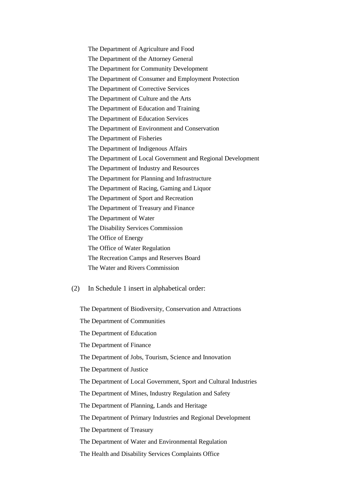The Department of Agriculture and Food The Department of the Attorney General The Department for Community Development The Department of Consumer and Employment Protection The Department of Corrective Services The Department of Culture and the Arts The Department of Education and Training The Department of Education Services The Department of Environment and Conservation The Department of Fisheries The Department of Indigenous Affairs The Department of Local Government and Regional Development The Department of Industry and Resources The Department for Planning and Infrastructure The Department of Racing, Gaming and Liquor The Department of Sport and Recreation The Department of Treasury and Finance The Department of Water The Disability Services Commission The Office of Energy The Office of Water Regulation The Recreation Camps and Reserves Board The Water and Rivers Commission

(2) In Schedule 1 insert in alphabetical order:

The Department of Biodiversity, Conservation and Attractions The Department of Communities The Department of Education The Department of Finance The Department of Jobs, Tourism, Science and Innovation The Department of Justice The Department of Local Government, Sport and Cultural Industries The Department of Mines, Industry Regulation and Safety The Department of Planning, Lands and Heritage The Department of Primary Industries and Regional Development The Department of Treasury The Department of Water and Environmental Regulation The Health and Disability Services Complaints Office